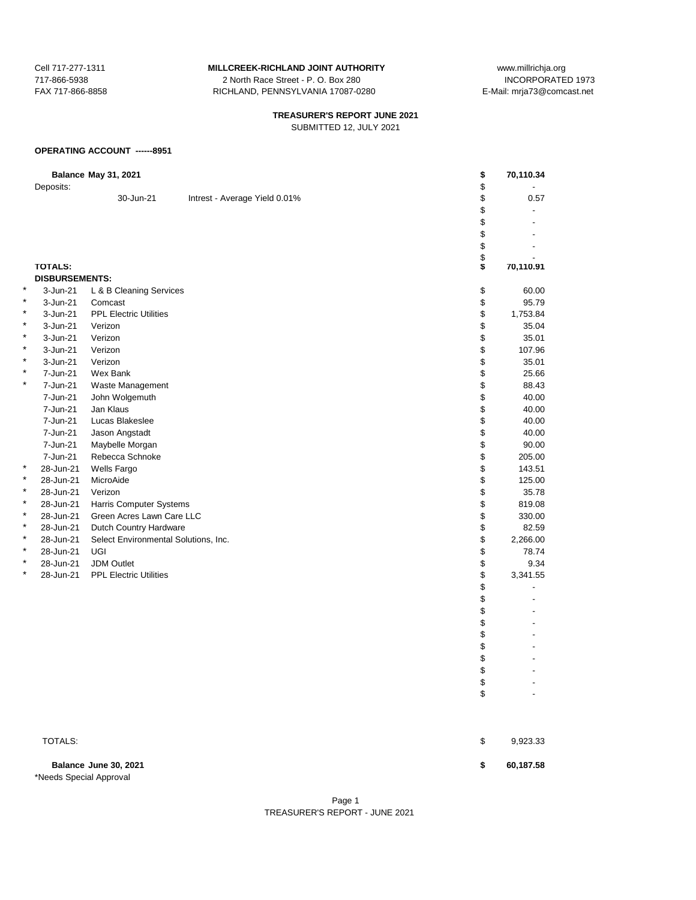717-866-5938 2 North Race Street - P. O. Box 280<br>FAX 717-866-8858 2 RICHLAND, PENNSYLVANIA 17087-02 RICHLAND, PENNSYLVANIA 17087-0280 E-Mail: mrja73@comcast.net

# **TREASURER'S REPORT JUNE 2021**

SUBMITTED 12, JULY 2021

#### **OPERATING ACCOUNT ------8951**

|   | Deposits:             | <b>Balance May 31, 2021</b>          |                               | \$<br>\$ | 70,110.34      |
|---|-----------------------|--------------------------------------|-------------------------------|----------|----------------|
|   |                       | 30-Jun-21                            | Intrest - Average Yield 0.01% | \$       | 0.57           |
|   |                       |                                      |                               | \$       |                |
|   |                       |                                      |                               | \$       |                |
|   |                       |                                      |                               | \$       |                |
|   |                       |                                      |                               | \$       |                |
|   |                       |                                      |                               | \$       |                |
|   | <b>TOTALS:</b>        |                                      |                               | \$       | 70,110.91      |
|   | <b>DISBURSEMENTS:</b> |                                      |                               |          |                |
| * | 3-Jun-21              | L & B Cleaning Services              |                               | \$       | 60.00          |
| * | 3-Jun-21              | Comcast                              |                               | \$       | 95.79          |
| * | 3-Jun-21              | <b>PPL Electric Utilities</b>        |                               | \$       | 1,753.84       |
| * | 3-Jun-21              | Verizon                              |                               | \$       | 35.04          |
| * | 3-Jun-21              | Verizon                              |                               | \$       | 35.01          |
| * | 3-Jun-21              | Verizon                              |                               | \$       | 107.96         |
| * | 3-Jun-21              | Verizon                              |                               | \$       | 35.01          |
| * | 7-Jun-21              | Wex Bank                             |                               | \$       | 25.66          |
| * | 7-Jun-21              | Waste Management                     |                               | \$       | 88.43          |
|   | 7-Jun-21              | John Wolgemuth                       |                               | \$       | 40.00          |
|   | 7-Jun-21              | Jan Klaus                            |                               | \$       | 40.00          |
|   | 7-Jun-21              | Lucas Blakeslee                      |                               | \$       | 40.00          |
|   | 7-Jun-21              | Jason Angstadt                       |                               | \$       | 40.00          |
|   | 7-Jun-21              | Maybelle Morgan                      |                               | \$       | 90.00          |
|   | 7-Jun-21              | Rebecca Schnoke                      |                               | \$       | 205.00         |
| * | 28-Jun-21             | Wells Fargo                          |                               | \$       | 143.51         |
| * | 28-Jun-21             | MicroAide                            |                               | \$       | 125.00         |
| * | 28-Jun-21             | Verizon                              |                               | \$       | 35.78          |
| * | 28-Jun-21             | Harris Computer Systems              |                               | \$       | 819.08         |
| * | 28-Jun-21             | Green Acres Lawn Care LLC            |                               | \$       | 330.00         |
| * | 28-Jun-21             | Dutch Country Hardware               |                               | \$       | 82.59          |
| * | 28-Jun-21             | Select Environmental Solutions, Inc. |                               | \$       | 2,266.00       |
| * | 28-Jun-21             | UGI                                  |                               | \$       | 78.74          |
| * | 28-Jun-21             | <b>JDM Outlet</b>                    |                               | \$       | 9.34           |
| * | 28-Jun-21             | <b>PPL Electric Utilities</b>        |                               | \$       | 3,341.55       |
|   |                       |                                      |                               | \$       | $\blacksquare$ |
|   |                       |                                      |                               | \$       |                |
|   |                       |                                      |                               | \$       |                |
|   |                       |                                      |                               | \$       |                |
|   |                       |                                      |                               | \$       |                |
|   |                       |                                      |                               | \$       |                |
|   |                       |                                      |                               | \$       |                |
|   |                       |                                      |                               | \$       |                |
|   |                       |                                      |                               | \$       |                |
|   |                       |                                      |                               | \$       |                |
|   |                       |                                      |                               |          |                |

**Balance June 30, 2021 \$ 60,187.58** \*Needs Special Approval

 $\texttt{TOTALS:}\quad \texttt{\$} \qquad \texttt{\$} \qquad \texttt{\$} \qquad \texttt{\$} \qquad \texttt{\$} \qquad \texttt{\$} \qquad \texttt{\$} \qquad \texttt{\$} \qquad \texttt{\$} \qquad \texttt{\$} \qquad \texttt{\$} \qquad \texttt{\$} \qquad \texttt{\$} \qquad \texttt{\$} \qquad \texttt{\$} \qquad \texttt{\$} \qquad \texttt{\$} \qquad \texttt{\$} \qquad \texttt{\$} \qquad \texttt{\$} \qquad \texttt{\$} \qquad \texttt{\$} \qquad \texttt{\$} \qquad \texttt{\$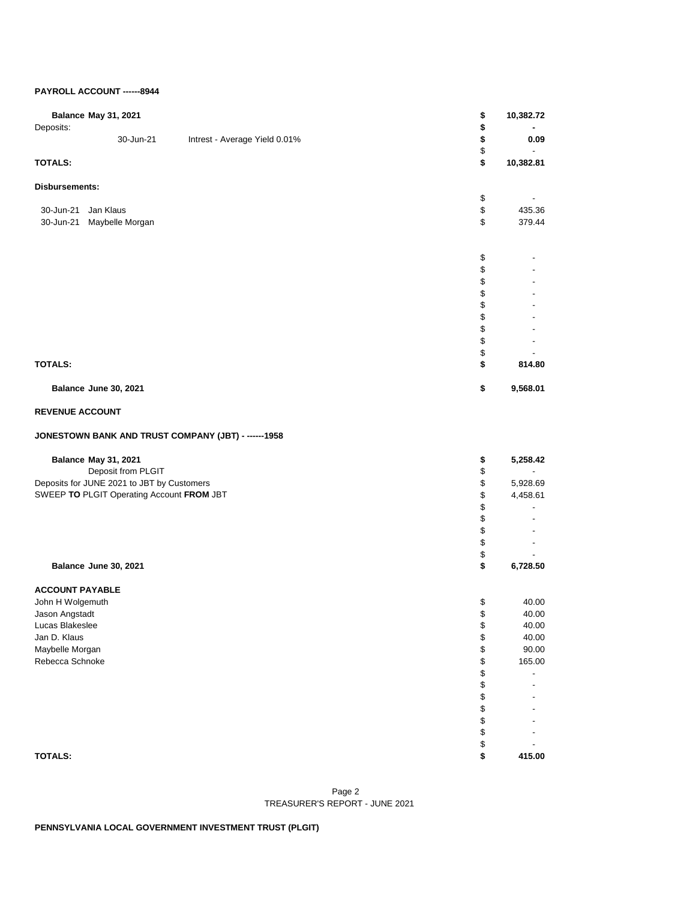## **PAYROLL ACCOUNT ------8944**

| <b>Balance May 31, 2021</b><br>Deposits:             |                | 10,382.72                            |
|------------------------------------------------------|----------------|--------------------------------------|
| 30-Jun-21<br>Intrest - Average Yield 0.01%           | \$<br>\$<br>\$ | 0.09                                 |
| <b>TOTALS:</b>                                       | \$             | 10,382.81                            |
| Disbursements:                                       |                |                                      |
| Jan Klaus                                            | \$<br>\$       | 435.36                               |
| 30-Jun-21<br>30-Jun-21<br>Maybelle Morgan            | \$             | 379.44                               |
|                                                      |                |                                      |
|                                                      | \$             |                                      |
|                                                      | \$             |                                      |
|                                                      | \$<br>\$       |                                      |
|                                                      | \$             |                                      |
|                                                      | \$             |                                      |
|                                                      | \$             |                                      |
|                                                      | \$             |                                      |
|                                                      | \$             |                                      |
| <b>TOTALS:</b>                                       | \$             | 814.80                               |
| Balance June 30, 2021                                | \$             | 9,568.01                             |
| <b>REVENUE ACCOUNT</b>                               |                |                                      |
| JONESTOWN BANK AND TRUST COMPANY (JBT) - ------ 1958 |                |                                      |
| <b>Balance May 31, 2021</b>                          | \$             | 5,258.42                             |
| Deposit from PLGIT                                   | \$             |                                      |
| Deposits for JUNE 2021 to JBT by Customers           | \$             | 5,928.69                             |
| SWEEP TO PLGIT Operating Account FROM JBT            | \$<br>\$       | 4,458.61<br>$\overline{\phantom{0}}$ |
|                                                      | \$             |                                      |
|                                                      | \$             |                                      |
|                                                      | \$             |                                      |
|                                                      | \$             |                                      |
| Balance June 30, 2021                                | \$             | 6,728.50                             |
| <b>ACCOUNT PAYABLE</b>                               |                |                                      |
| John H Wolgemuth                                     | \$             | 40.00                                |
| Jason Angstadt                                       | \$             | 40.00                                |
| Lucas Blakeslee<br>Jan D. Klaus                      | \$<br>\$       | 40.00<br>40.00                       |
| Maybelle Morgan                                      | \$             | 90.00                                |
| Rebecca Schnoke                                      | \$             | 165.00                               |
|                                                      | \$             |                                      |
|                                                      | \$             |                                      |
|                                                      | \$             |                                      |
|                                                      | \$             |                                      |
|                                                      | \$             |                                      |
|                                                      | \$<br>\$       |                                      |
| <b>TOTALS:</b>                                       | \$             | 415.00                               |